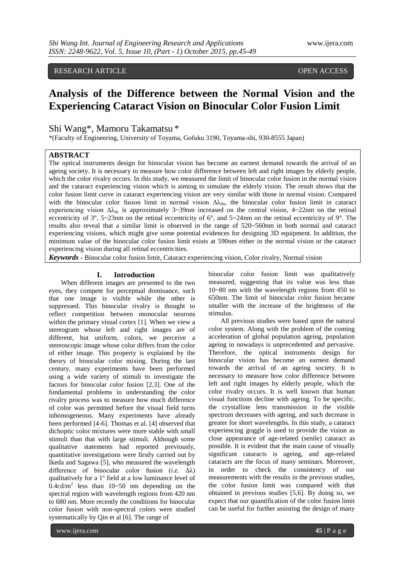# RESEARCH ARTICLE OPEN ACCESS

# **Analysis of the Difference between the Normal Vision and the Experiencing Cataract Vision on Binocular Color Fusion Limit**

## Shi Wang\*, Mamoru Takamatsu \*

\*(Faculty of Engineering, University of Toyama, Gofuku 3190, Toyama-shi, 930-8555 Japan)

## **ABSTRACT**

The optical instruments design for binocular vision has become an earnest demand towards the arrival of an ageing society. It is necessary to measure how color difference between left and right images by elderly people, which the color rivalry occurs. In this study, we measured the limit of binocular color fusion in the normal vision and the cataract experiencing vision which is aiming to simulate the elderly vision. The result shows that the color fusion limit curve in cataract experiencing vision are very similar with those in normal vision. Compared with the binocular color fusion limit in normal vision  $\Delta\lambda_{dn}$ , the binocular color fusion limit in cataract experiencing vision  $\Delta\lambda_{\rm dc}$  is approximately 3~39nm increased on the central vision, 4~22nm on the retinal eccentricity of 3°, 5~23nm on the retinal eccentricity of 6°, and 5~24nm on the retinal eccentricity of 9°. The results also reveal that a similar limit is observed in the range of 520~560nm in both normal and cataract experiencing visions, which might give some potential evidences for designing 3D equipment. In addition, the minimum value of the binocular color fusion limit exists at 590nm either in the normal vision or the cataract experiencing vision during all retinal eccentricities.

*Keywords* **-** Binocular color fusion limit, Cataract experiencing vision, Color rivalry, Normal vision

## **I. Introduction**

When different images are presented to the two eyes, they compete for perceptual dominance, such that one image is visible while the other is suppressed. This binocular rivalry is thought to reflect competition between monocular neurons within the primary visual cortex [1]. When we view a stereogram whose left and right images are of different, but uniform, colors, we perceive a stereoscopic image whose color differs from the color of either image. This property is explained by the theory of binocular color mixing. During the last century, many experiments have been performed using a wide variety of stimuli to investigate the factors for binocular color fusion [2,3]. One of the fundamental problems in understanding the color rivalry process was to measure how much difference of color was permitted before the visual field turns inhomogeneous. Many experiments have already been performed [4-6]. Thomas et al. [4] observed that dichoptic color mixtures were more stable with small stimuli than that with large stimuli. Although some qualitative statements had reported previously, quantitative investigations were firstly carried out by Ikeda and Sagawa [5], who measured the wavelength difference of binocular color fusion (i.e.  $\Delta\lambda$ ) qualitatively for a 1º field at a low luminance level of  $0.4 \text{cd/m}^2$  less than  $10 \sim 50$  nm depending on the spectral region with wavelength regions from 420 nm to 680 nm. More recently the conditions for binocular color fusion with non-spectral colors were studied systematically by Qin et al [6]. The range of

binocular color fusion limit was qualitatively measured, suggesting that its value was less than 10~80 nm with the wavelength regions from 450 to 650nm. The limit of binocular color fusion became smaller with the increase of the brightness of the stimulus.

All previous studies were based upon the natural color system. Along with the problem of the coming acceleration of global population ageing, population ageing in nowadays is unprecedented and pervasive. Therefore, the optical instruments design for binocular vision has become an earnest demand towards the arrival of an ageing society. It is necessary to measure how color difference between left and right images by elderly people, which the color rivalry occurs. It is well known that human visual functions decline with ageing. To be specific, the crystalline lens transmission in the visible spectrum decreases with ageing, and such decrease is greater for short wavelengths. In this study, a cataract experiencing goggle is used to provide the vision as close appearance of age-related (senile) cataract as possible. It is evident that the main cause of visually significant cataracts is ageing, and age-related cataracts are the focus of many seminars. Moreover, in order to check the consistency of our measurements with the results in the previous studies, the color fusion limit was compared with that obtained in previous studies [5,6]. By doing so, we expect that our quantification of the color fusion limit can be useful for further assisting the design of many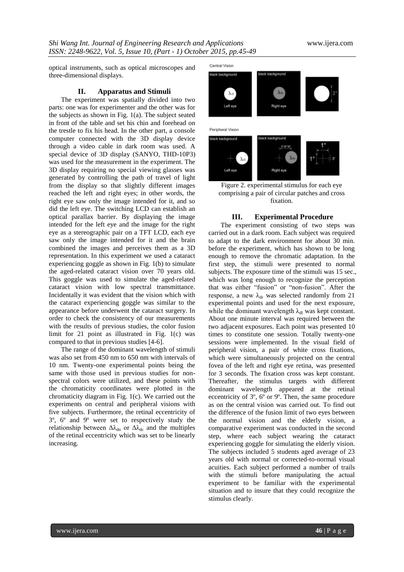optical instruments, such as optical microscopes and three-dimensional displays.

#### **II. Apparatus and Stimuli**

The experiment was spatially divided into two parts: one was for experimenter and the other was for the subjects as shown in Fig. 1(a). The subject seated in front of the table and set his chin and forehead on the trestle to fix his head. In the other part, a console computer connected with the 3D display device through a video cable in dark room was used. A special device of 3D display (SANYO, THD-10P3) was used for the measurement in the experiment. The 3D display requiring no special viewing glasses was generated by controlling the path of travel of light from the display so that slightly different images reached the left and right eyes; in other words, the right eye saw only the image intended for it, and so did the left eye. The switching LCD can establish an optical parallax barrier. By displaying the image intended for the left eye and the image for the right eye as a stereographic pair on a TFT LCD, each eye saw only the image intended for it and the brain combined the images and perceives them as a 3D representation. In this experiment we used a cataract experiencing goggle as shown in Fig. 1(b) to simulate the aged-related cataract vision over 70 years old. This goggle was used to simulate the aged-related cataract vision with low spectral transmittance. Incidentally it was evident that the vision which with the cataract experiencing goggle was similar to the appearance before underwent the cataract surgery. In order to check the consistency of our measurements with the results of previous studies, the color fusion limit for 21 point as illustrated in Fig. 1(c) was compared to that in previous studies [4-6].

The range of the dominant wavelength of stimuli was also set from 450 nm to 650 nm with intervals of 10 nm. Twenty-one experimental points being the same with those used in previous studies for nonspectral colors were utilized, and these points with the chromaticity coordinates were plotted in the chromaticity diagram in Fig. 1(c). We carried out the experiments on central and peripheral visions with five subjects. Furthermore, the retinal eccentricity of 3º, 6º and 9º were set to respectively study the relationship between  $\Delta\lambda_{dn}$  or  $\Delta\lambda_{dc}$  and the multiples of the retinal eccentricity which was set to be linearly increasing.

Central Vision

Left aw



Figure 2. experimental stimulus for each eye comprising a pair of circular patches and cross fixation.

Right ave

#### **III. Experimental Procedure**

The experiment consisting of two steps was carried out in a dark room. Each subject was required to adapt to the dark environment for about 30 min. before the experiment, which has shown to be long enough to remove the chromatic adaptation. In the first step, the stimuli were presented to normal subjects. The exposure time of the stimuli was 15 sec., which was long enough to recognize the perception that was either "fusion" or "non-fusion". After the response, a new  $\lambda_{dr}$  was selected randomly from 21 experimental points and used for the next exposure, while the dominant wavelength  $\lambda_{d}$  was kept constant. About one minute interval was required between the two adjacent exposures. Each point was presented 10 times to constitute one session. Totally twenty-one sessions were implemented. In the visual field of peripheral vision, a pair of white cross fixations, which were simultaneously projected on the central fovea of the left and right eye retina, was presented for 3 seconds. The fixation cross was kept constant. Thereafter, the stimulus targets with different dominant wavelength appeared at the retinal eccentricity of 3º, 6º or 9º. Then, the same procedure as on the central vision was carried out. To find out the difference of the fusion limit of two eyes between the normal vision and the elderly vision, a comparative experiment was conducted in the second step, where each subject wearing the cataract experiencing goggle for simulating the elderly vision. The subjects included 5 students aged average of 23 years old with normal or corrected-to-normal visual acuities. Each subject performed a number of trails with the stimuli before manipulating the actual experiment to be familiar with the experimental situation and to insure that they could recognize the stimulus clearly.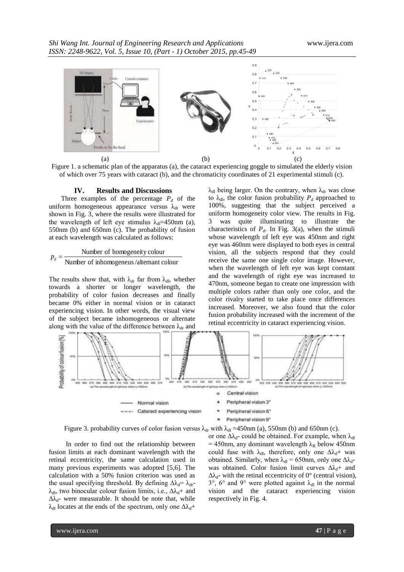

Figure 1. a schematic plan of the apparatus (a), the cataract experiencing goggle to simulated the elderly vision of which over 75 years with cataract (b), and the chromaticity coordinates of 21 experimental stimuli (c).

#### **IV. Results and Discussions**

Three examples of the percentage  $P_d$  of the uniform homogeneous appearance versus  $\lambda_{dr}$  were shown in Fig. 3, where the results were illustrated for the wavelength of left eye stimulus  $\lambda_{\text{dl}}$ =450nm (a), 550nm (b) and 650nm (c). The probability of fusion at each wavelength was calculated as follows:

#### Number of inhomogeneus /alternant colour Number of homogeneity colour *p<sup>d</sup>*

The results show that, with  $\lambda_{dr}$  far from  $\lambda_{dl}$ , whether towards a shorter or longer wavelength, the probability of color fusion decreases and finally became 0% either in normal vision or in cataract experiencing vision. In other words, the visual view of the subject became inhomogeneous or alternate along with the value of the difference between  $\lambda_{dr}$  and  $\lambda_{\rm dl}$  being larger. On the contrary, when  $\lambda_{\rm dr}$  was close to  $\lambda_{d}$ , the color fusion probability  $P_d$  approached to 100%, suggesting that the subject perceived a uniform homogeneity color view. The results in Fig. 3 was quite illuminating to illustrate the characteristics of  $P_d$ . In Fig. 3(a), when the stimuli whose wavelength of left eye was 450nm and right eye was 460nm were displayed to both eyes in central vision, all the subjects respond that they could receive the same one single color image. However, when the wavelength of left eye was kept constant and the wavelength of right eye was increased to 470nm, someone began to create one impression with multiple colors rather than only one color, and the color rivalry started to take place once differences increased. Moreover, we also found that the color fusion probability increased with the increment of the retinal eccentricity in cataract experiencing vision.



Figure 3. probability curves of color fusion versus  $\lambda_{dr}$  with  $\lambda_{dl} = 450$ nm (a), 550nm (b) and 650nm (c).

In order to find out the relationship between fusion limits at each dominant wavelength with the retinal eccentricity, the same calculation used in many previous experiments was adopted [5,6]. The calculation with a 50% fusion criterion was used as the usual specifying threshold. By defining  $\Delta \lambda_d = \lambda_{dr}$ - $\lambda_{\rm dl}$ , two binocular colour fusion limits, i.e.,  $\Delta \lambda_{\rm d}$ + and  $\Delta\lambda_{d}$ - were measurable. It should be note that, while  $\lambda_{\rm dl}$  locates at the ends of the spectrum, only one  $\Delta \lambda_{\rm d}$ +

or one  $\Delta\lambda_{d}$ - could be obtained. For example, when  $\lambda_{d}$ = 450nm, any dominant wavelength  $\lambda_R$  below 450nm could fuse with  $\lambda_{d}$ , therefore, only one  $\Delta \lambda_{d}$ + was obtained. Similarly, when  $\lambda_{dl} = 650$ nm, only one  $\Delta \lambda_{d}$ was obtained. Color fusion limit curves  $\Delta \lambda_d$ + and  $\Delta\lambda_d$ - with the retinal eccentricity of 0° (central vision),  $3^{\circ}$ ,  $6^{\circ}$  and  $9^{\circ}$  were plotted against  $\lambda_{d}$  in the normal vision and the cataract experiencing vision

respectively in Fig. 4.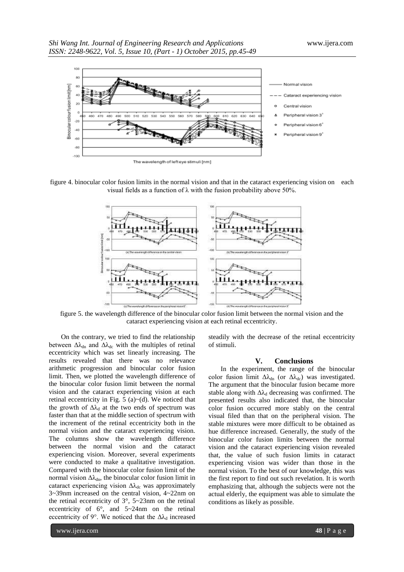

figure 4. binocular color fusion limits in the normal vision and that in the cataract experiencing vision on each visual fields as a function of λ with the fusion probability above 50%.



figure 5. the wavelength difference of the binocular color fusion limit between the normal vision and the cataract experiencing vision at each retinal eccentricity.

On the contrary, we tried to find the relationship between  $\Delta\lambda_{dn}$  and  $\Delta\lambda_{dc}$  with the multiples of retinal eccentricity which was set linearly increasing. The results revealed that there was no relevance arithmetic progression and binocular color fusion limit. Then, we plotted the wavelength difference of the binocular color fusion limit between the normal vision and the cataract experiencing vision at each retinal eccentricity in Fig.  $5$  (a) $\sim$ (d). We noticed that the growth of  $\Delta\lambda_d$  at the two ends of spectrum was faster than that at the middle section of spectrum with the increment of the retinal eccentricity both in the normal vision and the cataract experiencing vision. The columns show the wavelength difference between the normal vision and the cataract experiencing vision. Moreover, several experiments were conducted to make a qualitative investigation. Compared with the binocular color fusion limit of the normal vision  $\Delta\lambda_{dn}$ , the binocular color fusion limit in cataract experiencing vision  $\Delta\lambda_{dc}$  was approximately 3~39nm increased on the central vision, 4~22nm on the retinal eccentricity of 3°, 5~23nm on the retinal eccentricity of 6°, and 5~24nm on the retinal eccentricity of 9°. We noticed that the  $\Delta\lambda_d$  increased

steadily with the decrease of the retinal eccentricity of stimuli.

## **V. Conclusions**

In the experiment, the range of the binocular color fusion limit  $\Delta\lambda_{\text{dn}}$  (or  $\Delta\lambda_{\text{dc}}$ ) was investigated. The argument that the binocular fusion became more stable along with  $\Delta\lambda_d$  decreasing was confirmed. The presented results also indicated that, the binocular color fusion occurred more stably on the central visual filed than that on the peripheral vision. The stable mixtures were more difficult to be obtained as hue difference increased. Generally, the study of the binocular color fusion limits between the normal vision and the cataract experiencing vision revealed that, the value of such fusion limits in cataract experiencing vision was wider than those in the normal vision. To the best of our knowledge, this was the first report to find out such revelation. It is worth emphasizing that, although the subjects were not the actual elderly, the equipment was able to simulate the conditions as likely as possible.